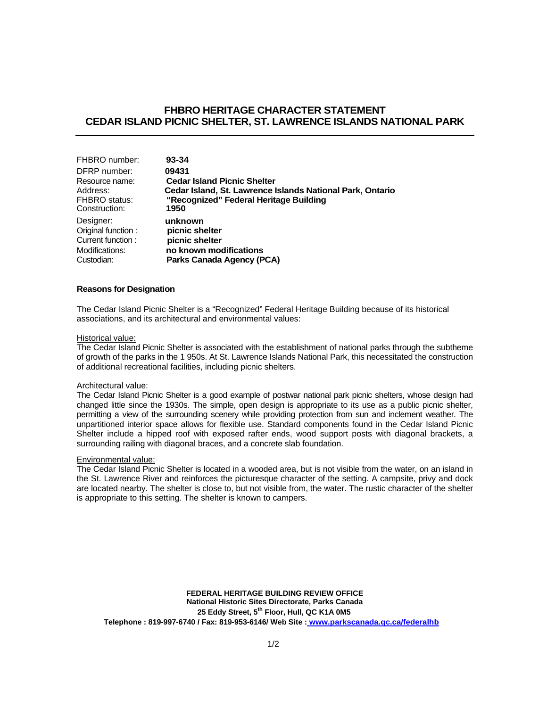# **FHBRO HERITAGE CHARACTER STATEMENT CEDAR ISLAND PICNIC SHELTER, ST. LAWRENCE ISLANDS NATIONAL PARK**

| FHBRO number:      | 93-34                                                     |
|--------------------|-----------------------------------------------------------|
| DFRP number:       | 09431                                                     |
| Resource name:     | <b>Cedar Island Picnic Shelter</b>                        |
| Address:           | Cedar Island, St. Lawrence Islands National Park, Ontario |
| FHBRO status:      | "Recognized" Federal Heritage Building                    |
| Construction:      | 1950                                                      |
| Designer:          | unknown                                                   |
| Original function: | picnic shelter                                            |
| Current function:  | picnic shelter                                            |
| Modifications:     | no known modifications                                    |
| Custodian:         | Parks Canada Agency (PCA)                                 |

## **Reasons for Designation**

The Cedar Island Picnic Shelter is a "Recognized" Federal Heritage Building because of its historical associations, and its architectural and environmental values:

### Historical value:

The Cedar Island Picnic Shelter is associated with the establishment of national parks through the subtheme of growth of the parks in the 1 950s. At St. Lawrence Islands National Park, this necessitated the construction of additional recreational facilities, including picnic shelters.

#### Architectural value:

The Cedar Island Picnic Shelter is a good example of postwar national park picnic shelters, whose design had changed little since the 1930s. The simple, open design is appropriate to its use as a public picnic shelter, permitting a view of the surrounding scenery while providing protection from sun and inclement weather. The unpartitioned interior space allows for flexible use. Standard components found in the Cedar Island Picnic Shelter include a hipped roof with exposed rafter ends, wood support posts with diagonal brackets, a surrounding railing with diagonal braces, and a concrete slab foundation.

### Environmental value:

The Cedar Island Picnic Shelter is located in a wooded area, but is not visible from the water, on an island in the St. Lawrence River and reinforces the picturesque character of the setting. A campsite, privy and dock are located nearby. The shelter is close to, but not visible from, the water. The rustic character of the shelter is appropriate to this setting. The shelter is known to campers.

**FEDERAL HERITAGE BUILDING REVIEW OFFICE National Historic Sites Directorate, Parks Canada 25 Eddy Street, 5th Floor, Hull, QC K1A 0M5 Telephone : 819-997-6740 / Fax: 819-953-6146/ Web Site : www.parkscanada.qc.ca/federalhb**